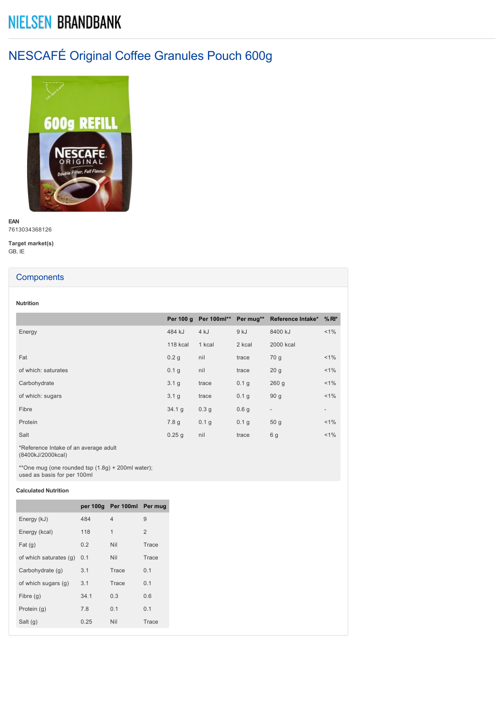# **NIELSEN BRANDBANK**

# NESCAFÉ Original Coffee Granules Pouch 600g



**EAN** 7613034368126

**Target market(s)** GB, IE

## **Components**

**Nutrition**

| 484 kJ           | 4 kJ             | 9 kJ             | 8400 kJ                  | $< 1\%$                                                 |
|------------------|------------------|------------------|--------------------------|---------------------------------------------------------|
| <b>118 kcal</b>  | 1 kcal           | 2 kcal           | 2000 kcal                |                                                         |
| 0.2 <sub>g</sub> | nil              | trace            | 70 g                     | $< 1\%$                                                 |
| 0.1 <sub>q</sub> | nil              | trace            | 20 <sub>g</sub>          | $< 1\%$                                                 |
| 3.1 <sub>q</sub> | trace            | 0.1 <sub>q</sub> | 260q                     | $< 1\%$                                                 |
| 3.1 <sub>q</sub> | trace            | 0.1 g            | 90 <sub>g</sub>          | $< 1\%$                                                 |
| 34.1 g           | 0.3 <sub>q</sub> | 0.6 <sub>q</sub> | $\overline{\phantom{a}}$ | $\overline{\phantom{0}}$                                |
| 7.8q             | 0.1 g            | 0.1 <sub>q</sub> | 50 <sub>g</sub>          | $< 1\%$                                                 |
| 0.25q            | nil              | trace            | 6 g                      | $< 1\%$                                                 |
|                  |                  |                  |                          | Per 100 g Per 100ml** Per mug** Reference Intake* % RI* |

\*Reference Intake of an average adult (8400kJ/2000kcal)

\*\*One mug (one rounded tsp (1.8g) + 200ml water); used as basis for per 100ml

## **Calculated Nutrition**

|                        |      | per 100g Per 100ml Per mug |                |
|------------------------|------|----------------------------|----------------|
| Energy (kJ)            | 484  | $\overline{4}$             | 9              |
| Energy (kcal)          | 118  | $\mathbf{1}$               | $\overline{2}$ |
| Fat(g)                 | 0.2  | Nil                        | Trace          |
| of which saturates (g) | 0.1  | <b>Nil</b>                 | Trace          |
| Carbohydrate (g)       | 3.1  | Trace                      | 0.1            |
| of which sugars (g)    | 3.1  | Trace                      | 0.1            |
| Fibre $(g)$            | 34.1 | 0.3                        | 0.6            |
| Protein (q)            | 7.8  | 0.1                        | 0.1            |
| Salt $(g)$             | 0.25 | Nil                        | Trace          |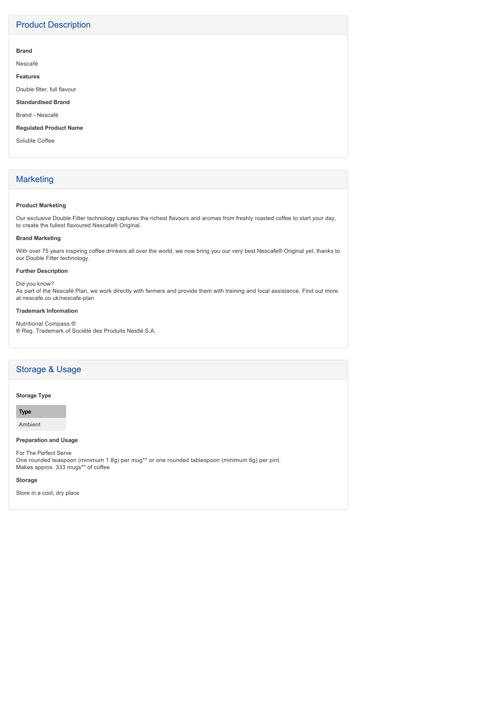# Product Description

#### **Brand**

Nescafé

**Features**

Double filter, full flavour

**Standardised Brand**

Brand - Nescafé

**Regulated Product Name**

Soluble Coffee

# **Marketing**

#### **Product Marketing**

Our exclusive Double Filter technology captures the richest flavours and aromas from freshly roasted coffee to start your day, to create the fullest flavoured Nescafe® Original.

#### **Brand Marketing**

With over 75 years inspiring coffee drinkers all over the world, we now bring you our very best Nescafe® Original yet, thanks to our Double Filter technology.

# **Further Description**

Did you know? As part of the Nescafé Plan, we work directly with farmers and provide them with training and local assistance. Find out more at nescafe.co.uk/nescafe-plan

#### **Trademark Information**

Nutritional Compass ® ® Reg. Trademark of Société des Produits Nestlé S.A.

# Storage & Usage

#### **Storage Type**

**Type**

Ambient

## **Preparation and Usage**

For The Perfect Serve One rounded teaspoon (minimum 1.8g) per mug\*\* or one rounded tablespoon (minimum 6g) per pint. Makes approx. 333 mugs\*\* of coffee

**Storage**

Store in a cool, dry place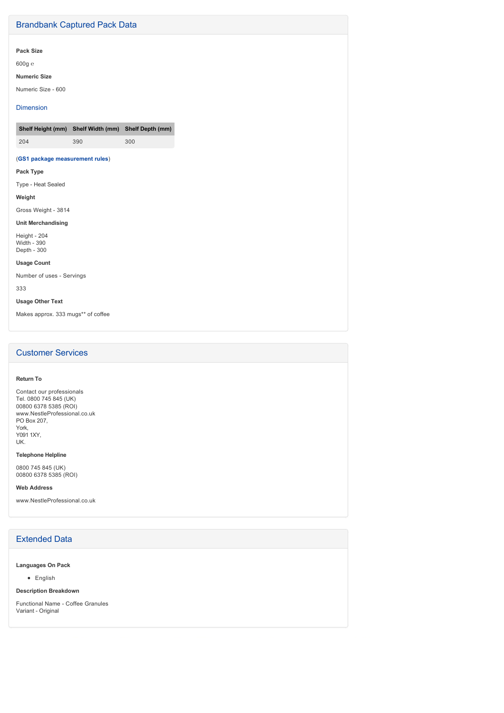# Brandbank Captured Pack Data

## **Pack Size**

600g ℮

#### **Numeric Size**

Numeric Size - 600

### Dimension

|     | Shelf Height (mm) Shelf Width (mm) Shelf Depth (mm) |     |
|-----|-----------------------------------------------------|-----|
| 204 | 390                                                 | 300 |

## (**GS1 package measurement rules**)

## **Pack Type**

Type - Heat Sealed

#### **Weight**

Gross Weight - 3814

#### **Unit Merchandising**

Height - 204 Width - 390 Depth - 300

## **Usage Count**

Number of uses - Servings

333

## **Usage Other Text**

Makes approx. 333 mugs\*\* of coffee

# Customer Services

#### **Return To**

Contact our professionals Tel. 0800 745 845 (UK) 00800 6378 5385 (ROI) www.NestleProfessional.co.uk PO Box 207, York, Y091 1XY, UK.

## **Telephone Helpline**

0800 745 845 (UK) 00800 6378 5385 (ROI)

#### **Web Address**

www.NestleProfessional.co.uk

## Extended Data

#### **Languages On Pack**

• English

#### **Description Breakdown**

Functional Name - Coffee Granules Variant - Original